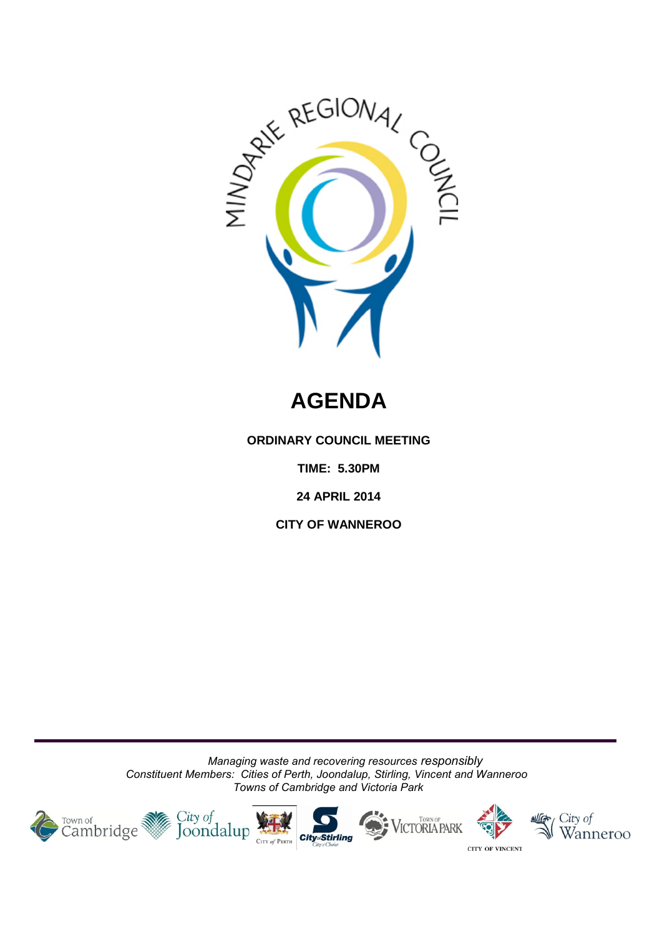

# **AGENDA**

**ORDINARY COUNCIL MEETING**

**TIME: 5.30PM**

**24 APRIL 2014** 

**CITY OF WANNEROO**

*Managing waste and recovering resources responsibly Constituent Members: Cities of Perth, Joondalup, Stirling, Vincent and Wanneroo Towns of Cambridge and Victoria Park*

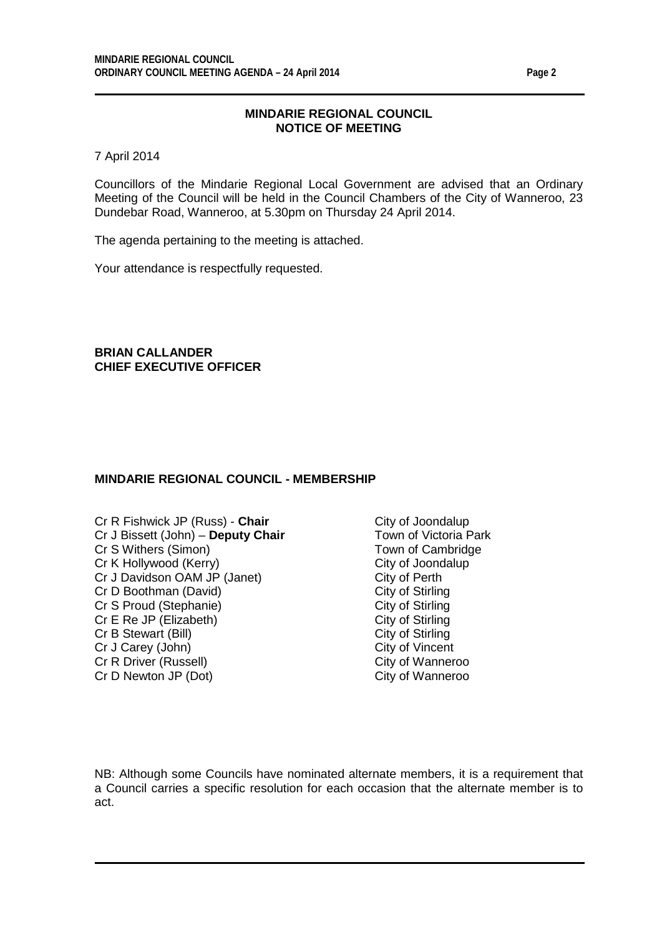7 April 2014

Councillors of the Mindarie Regional Local Government are advised that an Ordinary Meeting of the Council will be held in the Council Chambers of the City of Wanneroo, 23 Dundebar Road, Wanneroo, at 5.30pm on Thursday 24 April 2014.

The agenda pertaining to the meeting is attached.

Your attendance is respectfully requested.

**BRIAN CALLANDER CHIEF EXECUTIVE OFFICER**

#### **MINDARIE REGIONAL COUNCIL - MEMBERSHIP**

Cr R Fishwick JP (Russ) - **Chair** City of Joondalup<br>Cr J Bissett (John) - **Deputy Chair** Town of Victoria Park Cr J Bissett (John) – **Deputy Chair** Cr S Withers (Simon) Town of Cambridge Cr K Hollywood (Kerry)<br>
Cr J Davidson OAM JP (Janet) Cr J Davidson OAM JP (Janet) Cr J Davidson OAM JP (Janet) City of Perth<br>
Cr D Boothman (David) City of Stirling Cr D Boothman (David) City of Stirling<br>
Cr S Proud (Stephanie) City of Stirling Cr S Proud (Stephanie) City of Stirling<br>
Cr E Re JP (Elizabeth) City of Stirling<br>
City of Stirling Cr E Re JP (Elizabeth) City of Stirling<br>
Cr B Stewart (Bill) Cr B Stewart (Bill) Cr B Stewart (Bill) Cr J Carey (John) City of Vincent<br>
Cr R Driver (Russell) Cr R Driver (Russell) Cr R Driver (Russell) Cr D Newton JP (Dot) City of Wanneroo

NB: Although some Councils have nominated alternate members, it is a requirement that a Council carries a specific resolution for each occasion that the alternate member is to act.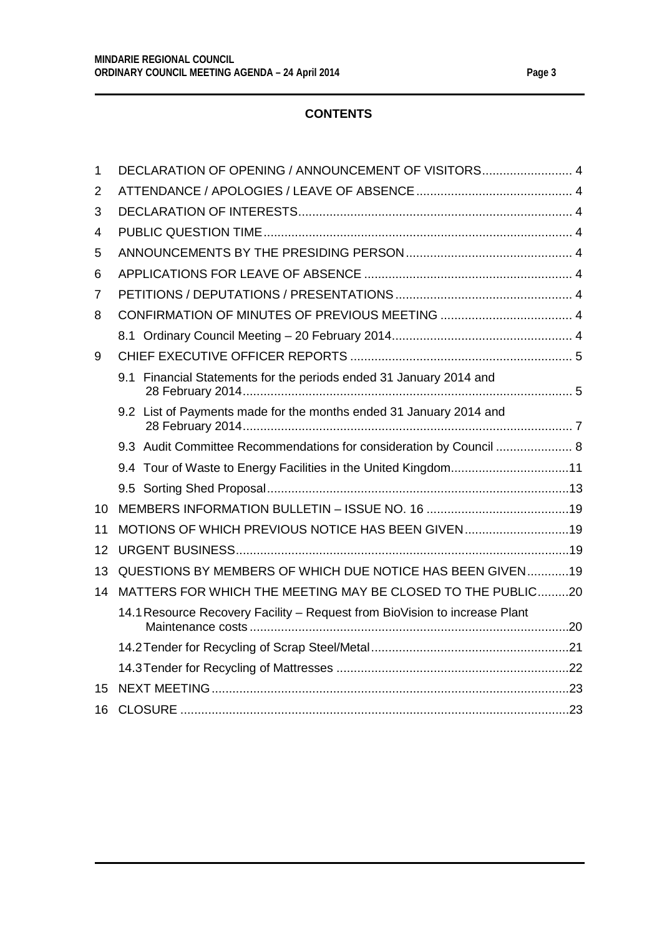### **CONTENTS**

| $\mathbf{1}$ | DECLARATION OF OPENING / ANNOUNCEMENT OF VISITORS 4                        |  |
|--------------|----------------------------------------------------------------------------|--|
| 2            |                                                                            |  |
| 3            |                                                                            |  |
| 4            |                                                                            |  |
| 5            |                                                                            |  |
| 6            |                                                                            |  |
| 7            |                                                                            |  |
| 8            |                                                                            |  |
|              |                                                                            |  |
| 9            |                                                                            |  |
|              | 9.1 Financial Statements for the periods ended 31 January 2014 and         |  |
|              | 9.2 List of Payments made for the months ended 31 January 2014 and         |  |
|              | 9.3 Audit Committee Recommendations for consideration by Council  8        |  |
|              | 9.4 Tour of Waste to Energy Facilities in the United Kingdom11             |  |
|              |                                                                            |  |
| 10           |                                                                            |  |
| 11           | MOTIONS OF WHICH PREVIOUS NOTICE HAS BEEN GIVEN19                          |  |
| 12           |                                                                            |  |
| 13           | QUESTIONS BY MEMBERS OF WHICH DUE NOTICE HAS BEEN GIVEN19                  |  |
| 14           | MATTERS FOR WHICH THE MEETING MAY BE CLOSED TO THE PUBLIC20                |  |
|              | 14.1 Resource Recovery Facility - Request from BioVision to increase Plant |  |
|              |                                                                            |  |
|              |                                                                            |  |
| 15           |                                                                            |  |
| 16           |                                                                            |  |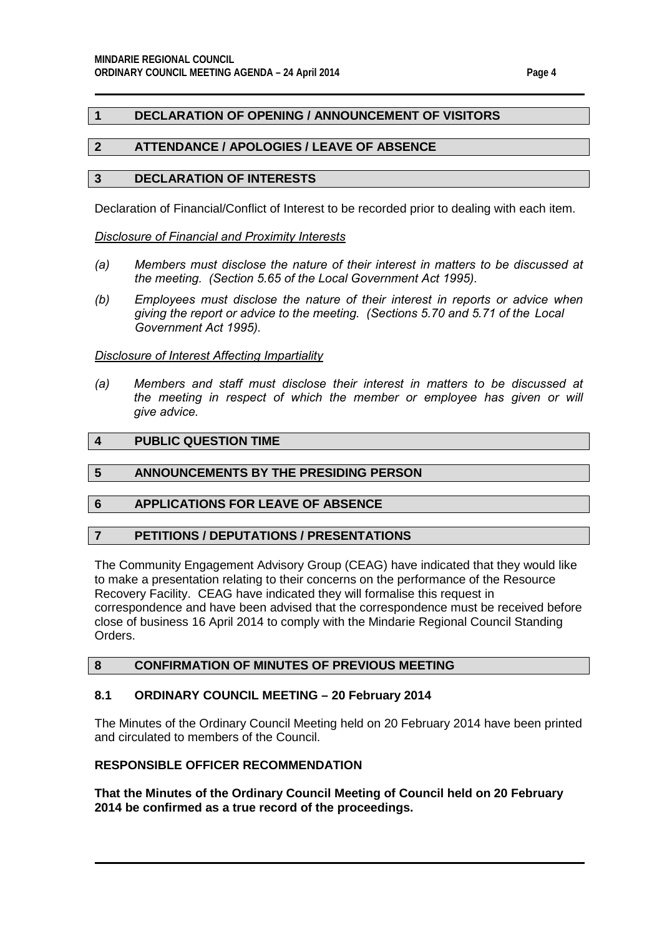### <span id="page-3-0"></span>**1 DECLARATION OF OPENING / ANNOUNCEMENT OF VISITORS**

#### <span id="page-3-1"></span>**2 ATTENDANCE / APOLOGIES / LEAVE OF ABSENCE**

#### <span id="page-3-2"></span>**3 DECLARATION OF INTERESTS**

Declaration of Financial/Conflict of Interest to be recorded prior to dealing with each item.

#### *Disclosure of Financial and Proximity Interests*

- *(a) Members must disclose the nature of their interest in matters to be discussed at the meeting. (Section 5.65 of the Local Government Act 1995).*
- *(b) Employees must disclose the nature of their interest in reports or advice when giving the report or advice to the meeting. (Sections 5.70 and 5.71 of the Local Government Act 1995).*

#### *Disclosure of Interest Affecting Impartiality*

*(a) Members and staff must disclose their interest in matters to be discussed at the meeting in respect of which the member or employee has given or will give advice.*

#### <span id="page-3-3"></span>**4 PUBLIC QUESTION TIME**

#### <span id="page-3-4"></span>**5 ANNOUNCEMENTS BY THE PRESIDING PERSON**

#### <span id="page-3-5"></span>**6 APPLICATIONS FOR LEAVE OF ABSENCE**

#### <span id="page-3-6"></span>**7 PETITIONS / DEPUTATIONS / PRESENTATIONS**

The Community Engagement Advisory Group (CEAG) have indicated that they would like to make a presentation relating to their concerns on the performance of the Resource Recovery Facility. CEAG have indicated they will formalise this request in correspondence and have been advised that the correspondence must be received before close of business 16 April 2014 to comply with the Mindarie Regional Council Standing Orders.

#### <span id="page-3-7"></span>**8 CONFIRMATION OF MINUTES OF PREVIOUS MEETING**

# <span id="page-3-8"></span>**8.1 ORDINARY COUNCIL MEETING – 20 February 2014**

The Minutes of the Ordinary Council Meeting held on 20 February 2014 have been printed and circulated to members of the Council.

# **RESPONSIBLE OFFICER RECOMMENDATION**

**That the Minutes of the Ordinary Council Meeting of Council held on 20 February 2014 be confirmed as a true record of the proceedings.**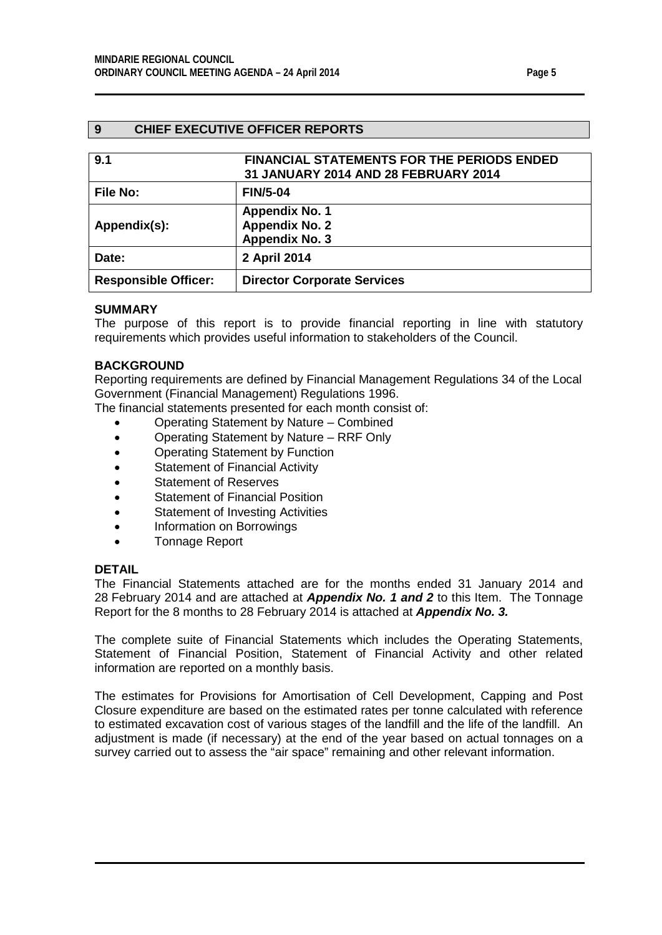#### <span id="page-4-0"></span>**9 CHIEF EXECUTIVE OFFICER REPORTS**

<span id="page-4-2"></span><span id="page-4-1"></span>

| 9.1                         | <b>FINANCIAL STATEMENTS FOR THE PERIODS ENDED</b><br>31 JANUARY 2014 AND 28 FEBRUARY 2014 |
|-----------------------------|-------------------------------------------------------------------------------------------|
| <b>File No:</b>             | <b>FIN/5-04</b>                                                                           |
| Appendix(s):                | <b>Appendix No. 1</b><br><b>Appendix No. 2</b><br><b>Appendix No. 3</b>                   |
| Date:                       | 2 April 2014                                                                              |
| <b>Responsible Officer:</b> | <b>Director Corporate Services</b>                                                        |

#### **SUMMARY**

The purpose of this report is to provide financial reporting in line with statutory requirements which provides useful information to stakeholders of the Council.

#### **BACKGROUND**

Reporting requirements are defined by Financial Management Regulations 34 of the Local Government (Financial Management) Regulations 1996.

The financial statements presented for each month consist of:

- Operating Statement by Nature Combined
- Operating Statement by Nature RRF Only
- Operating Statement by Function
- Statement of Financial Activity
- Statement of Reserves
- Statement of Financial Position
- Statement of Investing Activities
- Information on Borrowings
- Tonnage Report

#### **DETAIL**

The Financial Statements attached are for the months ended 31 January 2014 and 28 February 2014 and are attached at *Appendix No. 1 and 2* to this Item. The Tonnage Report for the 8 months to 28 February 2014 is attached at *Appendix No. 3.*

The complete suite of Financial Statements which includes the Operating Statements, Statement of Financial Position, Statement of Financial Activity and other related information are reported on a monthly basis.

The estimates for Provisions for Amortisation of Cell Development, Capping and Post Closure expenditure are based on the estimated rates per tonne calculated with reference to estimated excavation cost of various stages of the landfill and the life of the landfill. An adjustment is made (if necessary) at the end of the year based on actual tonnages on a survey carried out to assess the "air space" remaining and other relevant information.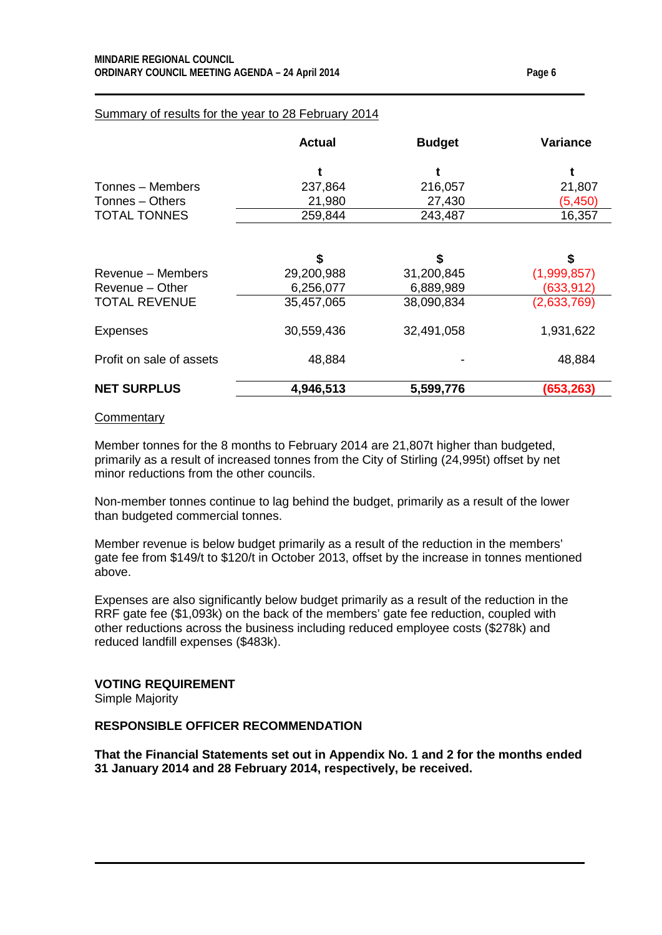### Summary of results for the year to 28 February 2014

|                     | <b>Actual</b> | <b>Budget</b> | <b>Variance</b> |  |
|---------------------|---------------|---------------|-----------------|--|
|                     |               |               |                 |  |
| Tonnes - Members    | 237,864       | 216,057       | 21,807          |  |
| Tonnes - Others     | 21,980        | 27,430        | (5,450)         |  |
| <b>TOTAL TONNES</b> | 259,844       | 243,487       | 16,357          |  |

|                          | \$         | \$         | \$          |
|--------------------------|------------|------------|-------------|
| Revenue – Members        | 29,200,988 | 31,200,845 | (1,999,857) |
| Revenue - Other          | 6,256,077  | 6,889,989  | (633, 912)  |
| <b>TOTAL REVENUE</b>     | 35,457,065 | 38,090,834 | (2,633,769) |
| <b>Expenses</b>          | 30,559,436 | 32,491,058 | 1,931,622   |
| Profit on sale of assets | 48,884     |            | 48,884      |
| <b>NET SURPLUS</b>       | 4,946,513  | 5,599,776  | (653,263)   |

#### **Commentary**

Member tonnes for the 8 months to February 2014 are 21,807t higher than budgeted, primarily as a result of increased tonnes from the City of Stirling (24,995t) offset by net minor reductions from the other councils.

Non-member tonnes continue to lag behind the budget, primarily as a result of the lower than budgeted commercial tonnes.

Member revenue is below budget primarily as a result of the reduction in the members' gate fee from \$149/t to \$120/t in October 2013, offset by the increase in tonnes mentioned above.

Expenses are also significantly below budget primarily as a result of the reduction in the RRF gate fee (\$1,093k) on the back of the members' gate fee reduction, coupled with other reductions across the business including reduced employee costs (\$278k) and reduced landfill expenses (\$483k).

### **VOTING REQUIREMENT**

Simple Majority

### **RESPONSIBLE OFFICER RECOMMENDATION**

**That the Financial Statements set out in Appendix No. 1 and 2 for the months ended 31 January 2014 and 28 February 2014, respectively, be received.**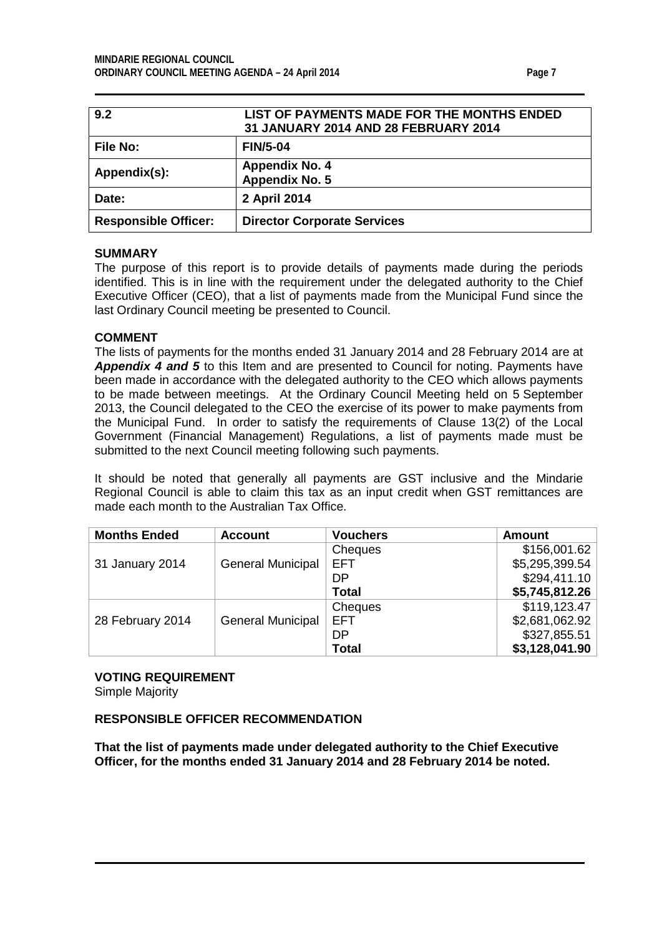<span id="page-6-1"></span><span id="page-6-0"></span>

| 9.2                         | LIST OF PAYMENTS MADE FOR THE MONTHS ENDED<br>31 JANUARY 2014 AND 28 FEBRUARY 2014 |
|-----------------------------|------------------------------------------------------------------------------------|
| <b>File No:</b>             | <b>FIN/5-04</b>                                                                    |
| Appendix(s):                | <b>Appendix No. 4</b><br><b>Appendix No. 5</b>                                     |
| Date:                       | 2 April 2014                                                                       |
| <b>Responsible Officer:</b> | <b>Director Corporate Services</b>                                                 |

#### **SUMMARY**

The purpose of this report is to provide details of payments made during the periods identified. This is in line with the requirement under the delegated authority to the Chief Executive Officer (CEO), that a list of payments made from the Municipal Fund since the last Ordinary Council meeting be presented to Council.

#### **COMMENT**

The lists of payments for the months ended 31 January 2014 and 28 February 2014 are at *Appendix 4 and 5* to this Item and are presented to Council for noting. Payments have been made in accordance with the delegated authority to the CEO which allows payments to be made between meetings. At the Ordinary Council Meeting held on 5 September 2013, the Council delegated to the CEO the exercise of its power to make payments from the Municipal Fund. In order to satisfy the requirements of Clause 13(2) of the Local Government (Financial Management) Regulations, a list of payments made must be submitted to the next Council meeting following such payments.

It should be noted that generally all payments are GST inclusive and the Mindarie Regional Council is able to claim this tax as an input credit when GST remittances are made each month to the Australian Tax Office.

| <b>Months Ended</b> | <b>Account</b>           | <b>Vouchers</b> | <b>Amount</b>  |
|---------------------|--------------------------|-----------------|----------------|
|                     |                          | Cheques         | \$156,001.62   |
| 31 January 2014     | <b>General Municipal</b> | EFT             | \$5,295,399.54 |
|                     |                          | DP              | \$294,411.10   |
|                     |                          | <b>Total</b>    | \$5,745,812.26 |
|                     |                          | Cheques         | \$119, 123.47  |
| 28 February 2014    | <b>General Municipal</b> | <b>EFT</b>      | \$2,681,062.92 |
|                     |                          | DP              | \$327,855.51   |
|                     |                          | <b>Total</b>    | \$3,128,041.90 |

# **VOTING REQUIREMENT**

Simple Majority

#### **RESPONSIBLE OFFICER RECOMMENDATION**

**That the list of payments made under delegated authority to the Chief Executive Officer, for the months ended 31 January 2014 and 28 February 2014 be noted.**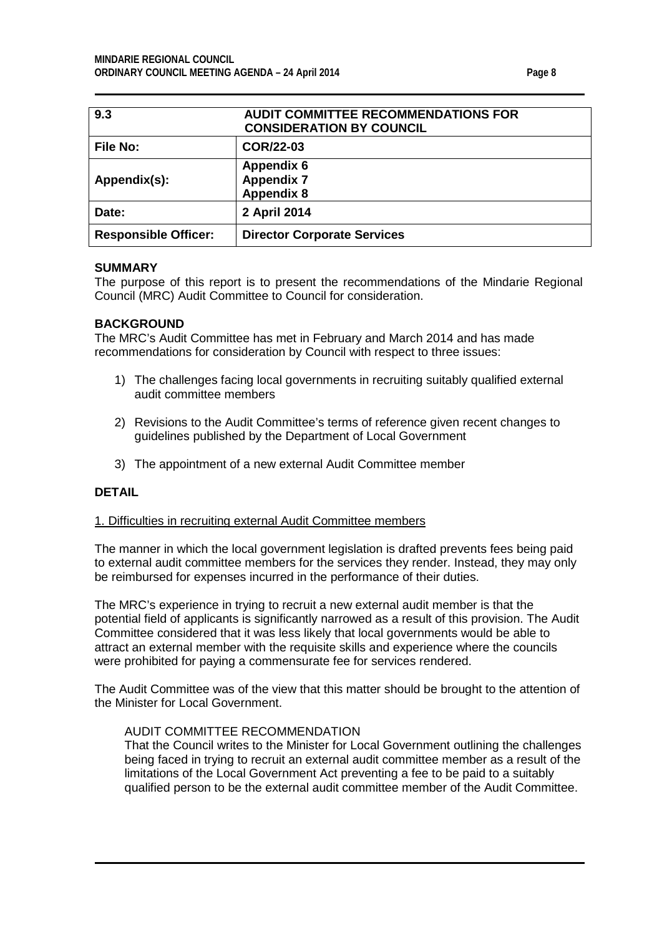<span id="page-7-0"></span>

| 9.3                         | <b>AUDIT COMMITTEE RECOMMENDATIONS FOR</b><br><b>CONSIDERATION BY COUNCIL</b> |
|-----------------------------|-------------------------------------------------------------------------------|
| <b>File No:</b>             | <b>COR/22-03</b>                                                              |
| Appendix(s):                | <b>Appendix 6</b><br><b>Appendix 7</b><br><b>Appendix 8</b>                   |
| Date:                       | 2 April 2014                                                                  |
| <b>Responsible Officer:</b> | <b>Director Corporate Services</b>                                            |

#### **SUMMARY**

The purpose of this report is to present the recommendations of the Mindarie Regional Council (MRC) Audit Committee to Council for consideration.

#### **BACKGROUND**

The MRC's Audit Committee has met in February and March 2014 and has made recommendations for consideration by Council with respect to three issues:

- 1) The challenges facing local governments in recruiting suitably qualified external audit committee members
- 2) Revisions to the Audit Committee's terms of reference given recent changes to guidelines published by the Department of Local Government
- 3) The appointment of a new external Audit Committee member

#### **DETAIL**

#### 1. Difficulties in recruiting external Audit Committee members

The manner in which the local government legislation is drafted prevents fees being paid to external audit committee members for the services they render. Instead, they may only be reimbursed for expenses incurred in the performance of their duties.

The MRC's experience in trying to recruit a new external audit member is that the potential field of applicants is significantly narrowed as a result of this provision. The Audit Committee considered that it was less likely that local governments would be able to attract an external member with the requisite skills and experience where the councils were prohibited for paying a commensurate fee for services rendered.

The Audit Committee was of the view that this matter should be brought to the attention of the Minister for Local Government.

#### AUDIT COMMITTEE RECOMMENDATION

That the Council writes to the Minister for Local Government outlining the challenges being faced in trying to recruit an external audit committee member as a result of the limitations of the Local Government Act preventing a fee to be paid to a suitably qualified person to be the external audit committee member of the Audit Committee.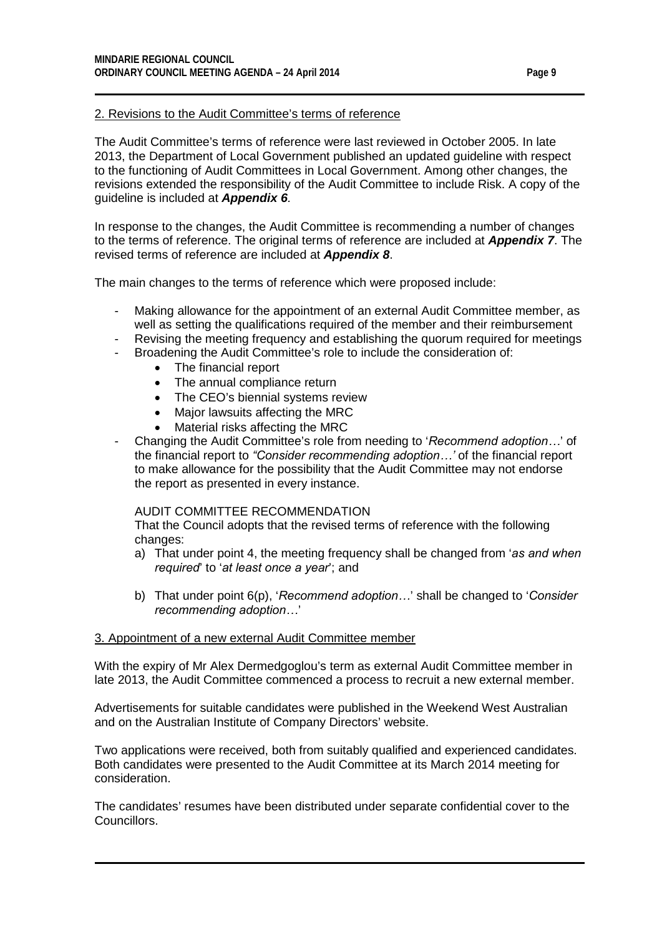#### 2. Revisions to the Audit Committee's terms of reference

The Audit Committee's terms of reference were last reviewed in October 2005. In late 2013, the Department of Local Government published an updated guideline with respect to the functioning of Audit Committees in Local Government. Among other changes, the revisions extended the responsibility of the Audit Committee to include Risk. A copy of the guideline is included at *Appendix 6.*

In response to the changes, the Audit Committee is recommending a number of changes to the terms of reference. The original terms of reference are included at *Appendix 7*. The revised terms of reference are included at *Appendix 8*.

The main changes to the terms of reference which were proposed include:

- Making allowance for the appointment of an external Audit Committee member, as well as setting the qualifications required of the member and their reimbursement
- Revising the meeting frequency and establishing the quorum required for meetings
- Broadening the Audit Committee's role to include the consideration of:
	- The financial report
	- The annual compliance return
	- The CEO's biennial systems review
	- Major lawsuits affecting the MRC
	- Material risks affecting the MRC
- Changing the Audit Committee's role from needing to '*Recommend adoption…*' of the financial report to *"Consider recommending adoption…'* of the financial report to make allowance for the possibility that the Audit Committee may not endorse the report as presented in every instance.

#### AUDIT COMMITTEE RECOMMENDATION

That the Council adopts that the revised terms of reference with the following changes:

- a) That under point 4, the meeting frequency shall be changed from '*as and when required*' to '*at least once a year*'; and
- b) That under point 6(p), '*Recommend adoption…*' shall be changed to '*Consider recommending adoption…*'

#### 3. Appointment of a new external Audit Committee member

With the expiry of Mr Alex Dermedgoglou's term as external Audit Committee member in late 2013, the Audit Committee commenced a process to recruit a new external member.

Advertisements for suitable candidates were published in the Weekend West Australian and on the Australian Institute of Company Directors' website.

Two applications were received, both from suitably qualified and experienced candidates. Both candidates were presented to the Audit Committee at its March 2014 meeting for consideration.

The candidates' resumes have been distributed under separate confidential cover to the Councillors.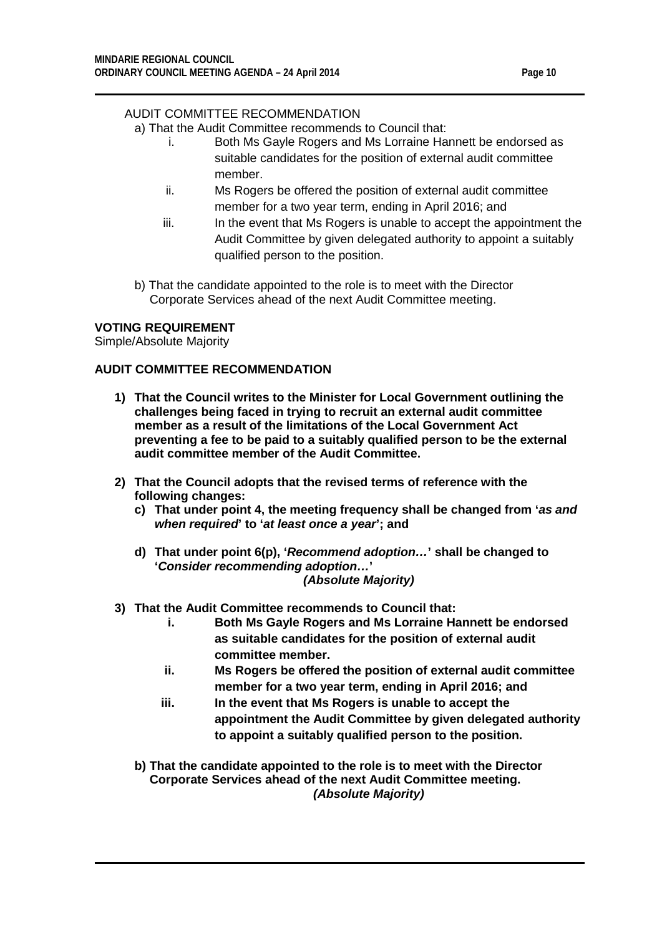### AUDIT COMMITTEE RECOMMENDATION

a) That the Audit Committee recommends to Council that:

- i. Both Ms Gayle Rogers and Ms Lorraine Hannett be endorsed as suitable candidates for the position of external audit committee member.
- ii. Ms Rogers be offered the position of external audit committee member for a two year term, ending in April 2016; and
- iii. In the event that Ms Rogers is unable to accept the appointment the Audit Committee by given delegated authority to appoint a suitably qualified person to the position.
- b) That the candidate appointed to the role is to meet with the Director Corporate Services ahead of the next Audit Committee meeting.

#### **VOTING REQUIREMENT**

Simple/Absolute Majority

#### **AUDIT COMMITTEE RECOMMENDATION**

- **1) That the Council writes to the Minister for Local Government outlining the challenges being faced in trying to recruit an external audit committee member as a result of the limitations of the Local Government Act preventing a fee to be paid to a suitably qualified person to be the external audit committee member of the Audit Committee.**
- **2) That the Council adopts that the revised terms of reference with the following changes:**
	- **c) That under point 4, the meeting frequency shall be changed from '***as and when required***' to '***at least once a year***'; and**
	- **d) That under point 6(p), '***Recommend adoption…***' shall be changed to '***Consider recommending adoption…***'**  *(Absolute Majority)*
- **3) That the Audit Committee recommends to Council that:**
	- **i. Both Ms Gayle Rogers and Ms Lorraine Hannett be endorsed as suitable candidates for the position of external audit committee member.**
	- **ii. Ms Rogers be offered the position of external audit committee member for a two year term, ending in April 2016; and**
	- **iii. In the event that Ms Rogers is unable to accept the appointment the Audit Committee by given delegated authority to appoint a suitably qualified person to the position.**
	- **b) That the candidate appointed to the role is to meet with the Director Corporate Services ahead of the next Audit Committee meeting.** *(Absolute Majority)*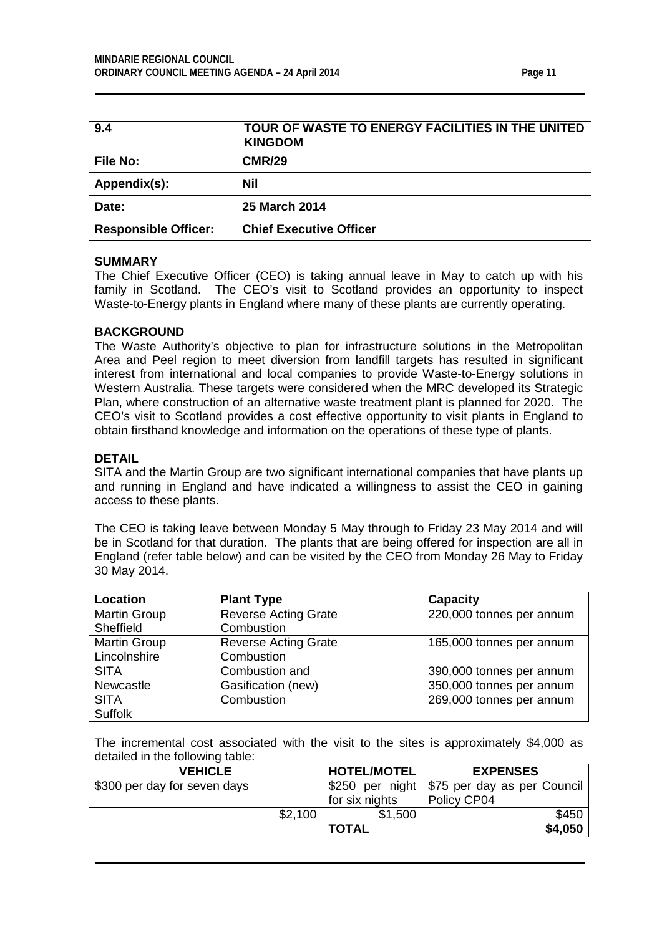<span id="page-10-0"></span>

| 9.4                         | TOUR OF WASTE TO ENERGY FACILITIES IN THE UNITED<br><b>KINGDOM</b> |
|-----------------------------|--------------------------------------------------------------------|
| <b>File No:</b>             | <b>CMR/29</b>                                                      |
| Appendix(s):                | Nil                                                                |
| Date:                       | <b>25 March 2014</b>                                               |
| <b>Responsible Officer:</b> | <b>Chief Executive Officer</b>                                     |

#### **SUMMARY**

The Chief Executive Officer (CEO) is taking annual leave in May to catch up with his family in Scotland. The CEO's visit to Scotland provides an opportunity to inspect Waste-to-Energy plants in England where many of these plants are currently operating.

#### **BACKGROUND**

The Waste Authority's objective to plan for infrastructure solutions in the Metropolitan Area and Peel region to meet diversion from landfill targets has resulted in significant interest from international and local companies to provide Waste-to-Energy solutions in Western Australia. These targets were considered when the MRC developed its Strategic Plan, where construction of an alternative waste treatment plant is planned for 2020. The CEO's visit to Scotland provides a cost effective opportunity to visit plants in England to obtain firsthand knowledge and information on the operations of these type of plants.

#### **DETAIL**

SITA and the Martin Group are two significant international companies that have plants up and running in England and have indicated a willingness to assist the CEO in gaining access to these plants.

The CEO is taking leave between Monday 5 May through to Friday 23 May 2014 and will be in Scotland for that duration. The plants that are being offered for inspection are all in England (refer table below) and can be visited by the CEO from Monday 26 May to Friday 30 May 2014.

| Location            | <b>Plant Type</b>           | <b>Capacity</b>          |
|---------------------|-----------------------------|--------------------------|
| Martin Group        | <b>Reverse Acting Grate</b> | 220,000 tonnes per annum |
| Sheffield           | Combustion                  |                          |
| <b>Martin Group</b> | <b>Reverse Acting Grate</b> | 165,000 tonnes per annum |
| Lincolnshire        | Combustion                  |                          |
| <b>SITA</b>         | Combustion and              | 390,000 tonnes per annum |
| Newcastle           | Gasification (new)          | 350,000 tonnes per annum |
| <b>SITA</b>         | Combustion                  | 269,000 tonnes per annum |
| <b>Suffolk</b>      |                             |                          |

The incremental cost associated with the visit to the sites is approximately \$4,000 as detailed in the following table:

| <b>VEHICLE</b>               |         | <b>HOTEL/MOTEL</b> | <b>EXPENSES</b>                               |
|------------------------------|---------|--------------------|-----------------------------------------------|
| \$300 per day for seven days |         |                    | \$250 per night   \$75 per day as per Council |
|                              |         | for six nights     | Policy CP04                                   |
|                              | \$2,100 | \$1,500            | \$450                                         |
|                              |         | <b>TOTAL</b>       | \$4,050                                       |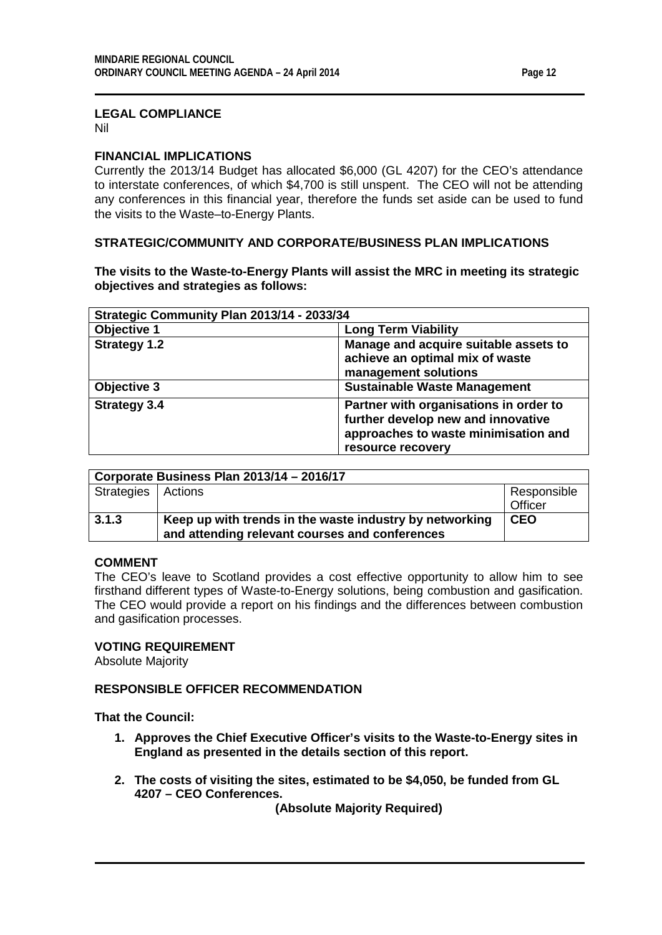#### **LEGAL COMPLIANCE**

Nil

#### **FINANCIAL IMPLICATIONS**

Currently the 2013/14 Budget has allocated \$6,000 (GL 4207) for the CEO's attendance to interstate conferences, of which \$4,700 is still unspent. The CEO will not be attending any conferences in this financial year, therefore the funds set aside can be used to fund the visits to the Waste–to-Energy Plants.

#### **STRATEGIC/COMMUNITY AND CORPORATE/BUSINESS PLAN IMPLICATIONS**

**The visits to the Waste-to-Energy Plants will assist the MRC in meeting its strategic objectives and strategies as follows:**

| Strategic Community Plan 2013/14 - 2033/34 |                                                                                                                                           |  |  |
|--------------------------------------------|-------------------------------------------------------------------------------------------------------------------------------------------|--|--|
| Objective 1                                | <b>Long Term Viability</b>                                                                                                                |  |  |
| <b>Strategy 1.2</b>                        | Manage and acquire suitable assets to<br>achieve an optimal mix of waste<br>management solutions                                          |  |  |
| Objective 3                                | <b>Sustainable Waste Management</b>                                                                                                       |  |  |
| <b>Strategy 3.4</b>                        | Partner with organisations in order to<br>further develop new and innovative<br>approaches to waste minimisation and<br>resource recovery |  |  |

| Corporate Business Plan 2013/14 - 2016/17 |                                                                                                           |             |  |  |
|-------------------------------------------|-----------------------------------------------------------------------------------------------------------|-------------|--|--|
| Strategies   Actions                      |                                                                                                           | Responsible |  |  |
|                                           |                                                                                                           | Officer     |  |  |
| 3.1.3                                     | Keep up with trends in the waste industry by networking<br>and attending relevant courses and conferences | <b>CEO</b>  |  |  |

#### **COMMENT**

The CEO's leave to Scotland provides a cost effective opportunity to allow him to see firsthand different types of Waste-to-Energy solutions, being combustion and gasification. The CEO would provide a report on his findings and the differences between combustion and gasification processes.

#### **VOTING REQUIREMENT**

Absolute Majority

### **RESPONSIBLE OFFICER RECOMMENDATION**

**That the Council:**

- **1. Approves the Chief Executive Officer's visits to the Waste-to-Energy sites in England as presented in the details section of this report.**
- **2. The costs of visiting the sites, estimated to be \$4,050, be funded from GL 4207 – CEO Conferences.**

**(Absolute Majority Required)**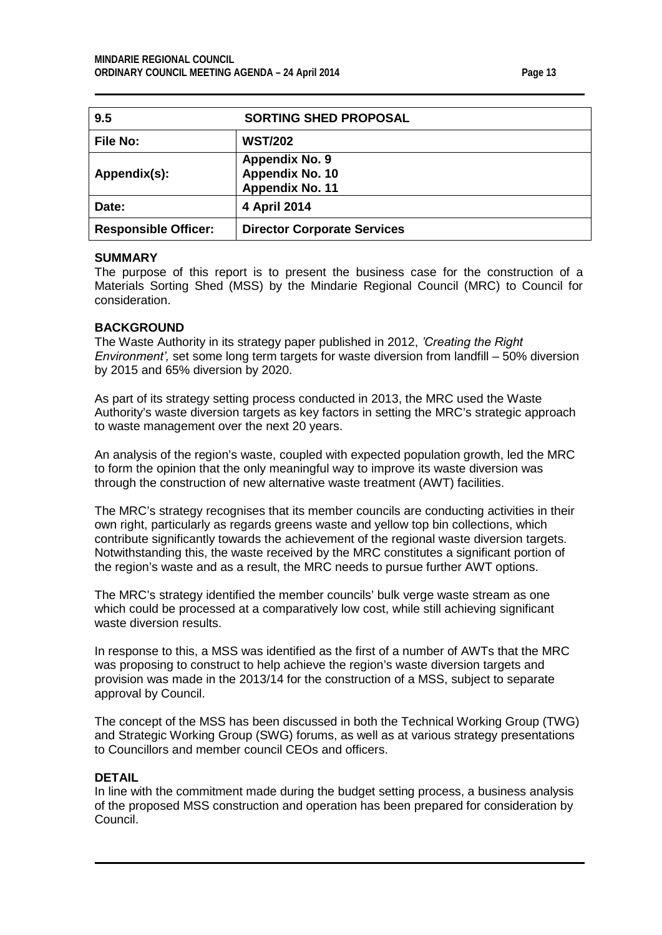<span id="page-12-0"></span>

| 9.5                         | <b>SORTING SHED PROPOSAL</b>                                |
|-----------------------------|-------------------------------------------------------------|
| <b>File No:</b>             | <b>WST/202</b>                                              |
| Appendix(s):                | <b>Appendix No. 9</b><br>Appendix No. 10<br>Appendix No. 11 |
| Date:                       | 4 April 2014                                                |
| <b>Responsible Officer:</b> | <b>Director Corporate Services</b>                          |

#### **SUMMARY**

The purpose of this report is to present the business case for the construction of a Materials Sorting Shed (MSS) by the Mindarie Regional Council (MRC) to Council for consideration.

#### **BACKGROUND**

The Waste Authority in its strategy paper published in 2012, *'Creating the Right Environment',* set some long term targets for waste diversion from landfill – 50% diversion by 2015 and 65% diversion by 2020.

As part of its strategy setting process conducted in 2013, the MRC used the Waste Authority's waste diversion targets as key factors in setting the MRC's strategic approach to waste management over the next 20 years.

An analysis of the region's waste, coupled with expected population growth, led the MRC to form the opinion that the only meaningful way to improve its waste diversion was through the construction of new alternative waste treatment (AWT) facilities.

The MRC's strategy recognises that its member councils are conducting activities in their own right, particularly as regards greens waste and yellow top bin collections, which contribute significantly towards the achievement of the regional waste diversion targets. Notwithstanding this, the waste received by the MRC constitutes a significant portion of the region's waste and as a result, the MRC needs to pursue further AWT options.

The MRC's strategy identified the member councils' bulk verge waste stream as one which could be processed at a comparatively low cost, while still achieving significant waste diversion results.

In response to this, a MSS was identified as the first of a number of AWTs that the MRC was proposing to construct to help achieve the region's waste diversion targets and provision was made in the 2013/14 for the construction of a MSS, subject to separate approval by Council.

The concept of the MSS has been discussed in both the Technical Working Group (TWG) and Strategic Working Group (SWG) forums, as well as at various strategy presentations to Councillors and member council CEOs and officers.

#### **DETAIL**

In line with the commitment made during the budget setting process, a business analysis of the proposed MSS construction and operation has been prepared for consideration by Council.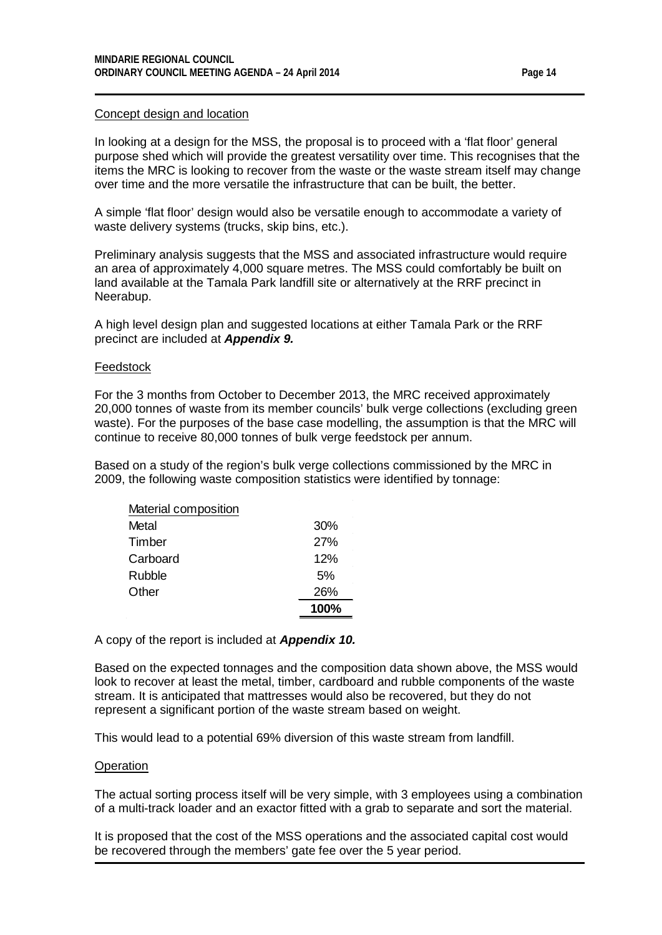#### Concept design and location

In looking at a design for the MSS, the proposal is to proceed with a 'flat floor' general purpose shed which will provide the greatest versatility over time. This recognises that the items the MRC is looking to recover from the waste or the waste stream itself may change over time and the more versatile the infrastructure that can be built, the better.

A simple 'flat floor' design would also be versatile enough to accommodate a variety of waste delivery systems (trucks, skip bins, etc.).

Preliminary analysis suggests that the MSS and associated infrastructure would require an area of approximately 4,000 square metres. The MSS could comfortably be built on land available at the Tamala Park landfill site or alternatively at the RRF precinct in Neerabup.

A high level design plan and suggested locations at either Tamala Park or the RRF precinct are included at *Appendix 9.*

#### **Feedstock**

For the 3 months from October to December 2013, the MRC received approximately 20,000 tonnes of waste from its member councils' bulk verge collections (excluding green waste). For the purposes of the base case modelling, the assumption is that the MRC will continue to receive 80,000 tonnes of bulk verge feedstock per annum.

Based on a study of the region's bulk verge collections commissioned by the MRC in 2009, the following waste composition statistics were identified by tonnage:

| 30%  |
|------|
| 27%  |
| 12%  |
| 5%   |
| 26%  |
| 100% |
|      |

A copy of the report is included at *Appendix 10.*

Based on the expected tonnages and the composition data shown above, the MSS would look to recover at least the metal, timber, cardboard and rubble components of the waste stream. It is anticipated that mattresses would also be recovered, but they do not represent a significant portion of the waste stream based on weight.

This would lead to a potential 69% diversion of this waste stream from landfill.

#### **Operation**

The actual sorting process itself will be very simple, with 3 employees using a combination of a multi-track loader and an exactor fitted with a grab to separate and sort the material.

It is proposed that the cost of the MSS operations and the associated capital cost would be recovered through the members' gate fee over the 5 year period.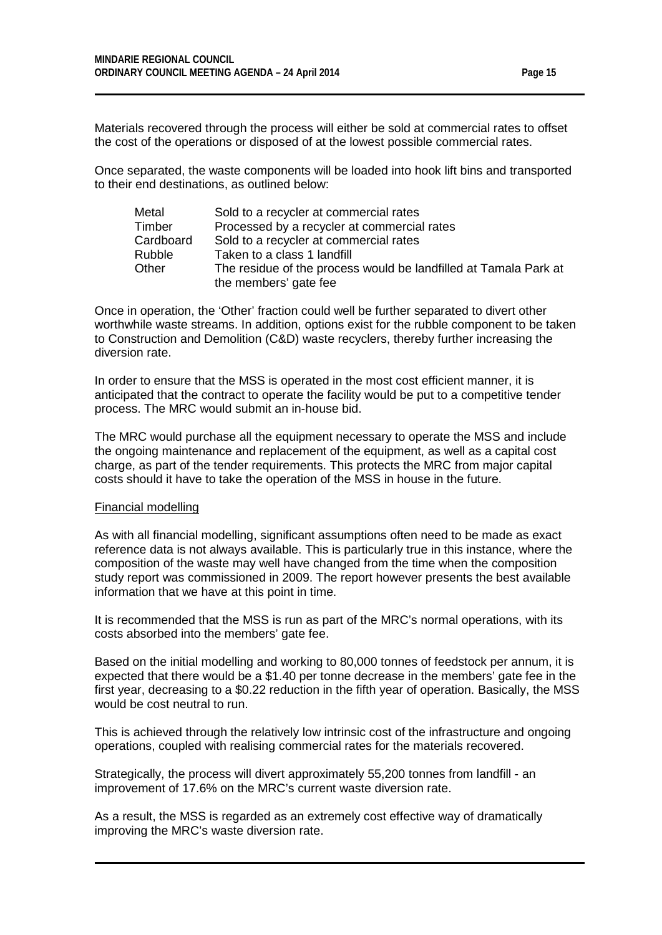Materials recovered through the process will either be sold at commercial rates to offset the cost of the operations or disposed of at the lowest possible commercial rates.

Once separated, the waste components will be loaded into hook lift bins and transported to their end destinations, as outlined below:

| Metal         | Sold to a recycler at commercial rates                           |
|---------------|------------------------------------------------------------------|
| Timber        | Processed by a recycler at commercial rates                      |
| Cardboard     | Sold to a recycler at commercial rates                           |
| <b>Rubble</b> | Taken to a class 1 landfill                                      |
| Other         | The residue of the process would be landfilled at Tamala Park at |
|               | the members' gate fee                                            |

Once in operation, the 'Other' fraction could well be further separated to divert other worthwhile waste streams. In addition, options exist for the rubble component to be taken to Construction and Demolition (C&D) waste recyclers, thereby further increasing the diversion rate.

In order to ensure that the MSS is operated in the most cost efficient manner, it is anticipated that the contract to operate the facility would be put to a competitive tender process. The MRC would submit an in-house bid.

The MRC would purchase all the equipment necessary to operate the MSS and include the ongoing maintenance and replacement of the equipment, as well as a capital cost charge, as part of the tender requirements. This protects the MRC from major capital costs should it have to take the operation of the MSS in house in the future.

#### Financial modelling

As with all financial modelling, significant assumptions often need to be made as exact reference data is not always available. This is particularly true in this instance, where the composition of the waste may well have changed from the time when the composition study report was commissioned in 2009. The report however presents the best available information that we have at this point in time.

It is recommended that the MSS is run as part of the MRC's normal operations, with its costs absorbed into the members' gate fee.

Based on the initial modelling and working to 80,000 tonnes of feedstock per annum, it is expected that there would be a \$1.40 per tonne decrease in the members' gate fee in the first year, decreasing to a \$0.22 reduction in the fifth year of operation. Basically, the MSS would be cost neutral to run.

This is achieved through the relatively low intrinsic cost of the infrastructure and ongoing operations, coupled with realising commercial rates for the materials recovered.

Strategically, the process will divert approximately 55,200 tonnes from landfill - an improvement of 17.6% on the MRC's current waste diversion rate.

As a result, the MSS is regarded as an extremely cost effective way of dramatically improving the MRC's waste diversion rate.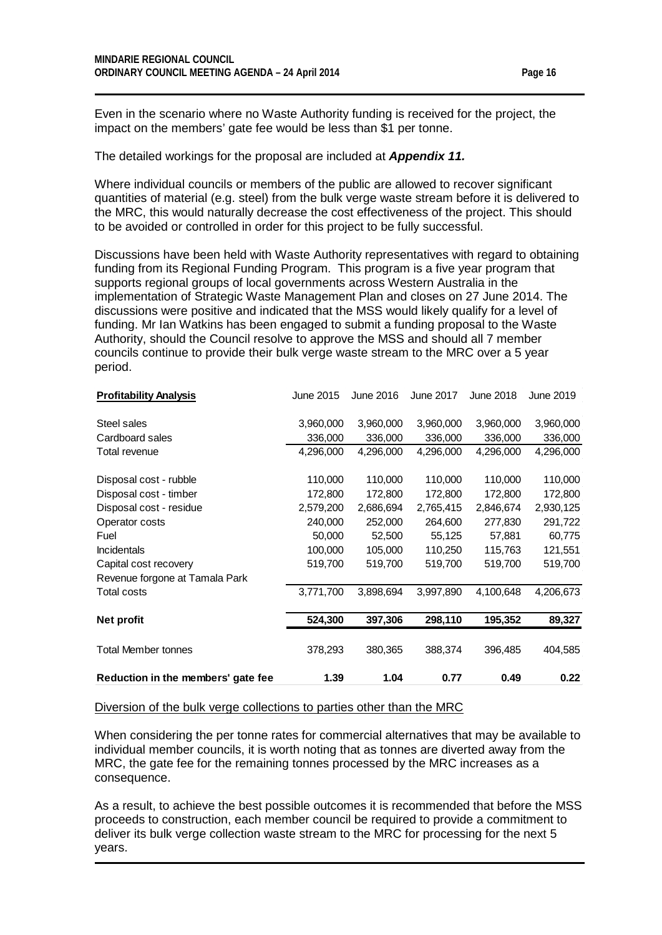Even in the scenario where no Waste Authority funding is received for the project, the impact on the members' gate fee would be less than \$1 per tonne.

The detailed workings for the proposal are included at *Appendix 11.*

Where individual councils or members of the public are allowed to recover significant quantities of material (e.g. steel) from the bulk verge waste stream before it is delivered to the MRC, this would naturally decrease the cost effectiveness of the project. This should to be avoided or controlled in order for this project to be fully successful.

Discussions have been held with Waste Authority representatives with regard to obtaining funding from its Regional Funding Program. This program is a five year program that supports regional groups of local governments across Western Australia in the implementation of Strategic Waste Management Plan and closes on 27 June 2014. The discussions were positive and indicated that the MSS would likely qualify for a level of funding. Mr Ian Watkins has been engaged to submit a funding proposal to the Waste Authority, should the Council resolve to approve the MSS and should all 7 member councils continue to provide their bulk verge waste stream to the MRC over a 5 year period.

| <b>Profitability Analysis</b>      | June 2015 | June 2016 | <b>June 2017</b> | June 2018 | June 2019 |
|------------------------------------|-----------|-----------|------------------|-----------|-----------|
| Steel sales                        | 3,960,000 | 3,960,000 | 3,960,000        | 3,960,000 | 3,960,000 |
| Cardboard sales                    | 336,000   | 336,000   | 336,000          | 336,000   | 336,000   |
| Total revenue                      | 4,296,000 | 4,296,000 | 4,296,000        | 4,296,000 | 4,296,000 |
| Disposal cost - rubble             | 110,000   | 110,000   | 110,000          | 110,000   | 110,000   |
| Disposal cost - timber             | 172,800   | 172,800   | 172,800          | 172,800   | 172,800   |
| Disposal cost - residue            | 2,579,200 | 2,686,694 | 2,765,415        | 2,846,674 | 2,930,125 |
| Operator costs                     | 240,000   | 252,000   | 264,600          | 277,830   | 291,722   |
| Fuel                               | 50,000    | 52,500    | 55,125           | 57,881    | 60,775    |
| <b>Incidentals</b>                 | 100,000   | 105,000   | 110,250          | 115,763   | 121,551   |
| Capital cost recovery              | 519,700   | 519,700   | 519,700          | 519,700   | 519,700   |
| Revenue forgone at Tamala Park     |           |           |                  |           |           |
| <b>Total costs</b>                 | 3,771,700 | 3,898,694 | 3,997,890        | 4,100,648 | 4,206,673 |
| <b>Net profit</b>                  | 524,300   | 397,306   | 298,110          | 195,352   | 89,327    |
|                                    |           |           |                  |           |           |
| <b>Total Member tonnes</b>         | 378,293   | 380,365   | 388,374          | 396,485   | 404,585   |
| Reduction in the members' gate fee | 1.39      | 1.04      | 0.77             | 0.49      | 0.22      |

#### Diversion of the bulk verge collections to parties other than the MRC

When considering the per tonne rates for commercial alternatives that may be available to individual member councils, it is worth noting that as tonnes are diverted away from the MRC, the gate fee for the remaining tonnes processed by the MRC increases as a consequence.

As a result, to achieve the best possible outcomes it is recommended that before the MSS proceeds to construction, each member council be required to provide a commitment to deliver its bulk verge collection waste stream to the MRC for processing for the next 5 years.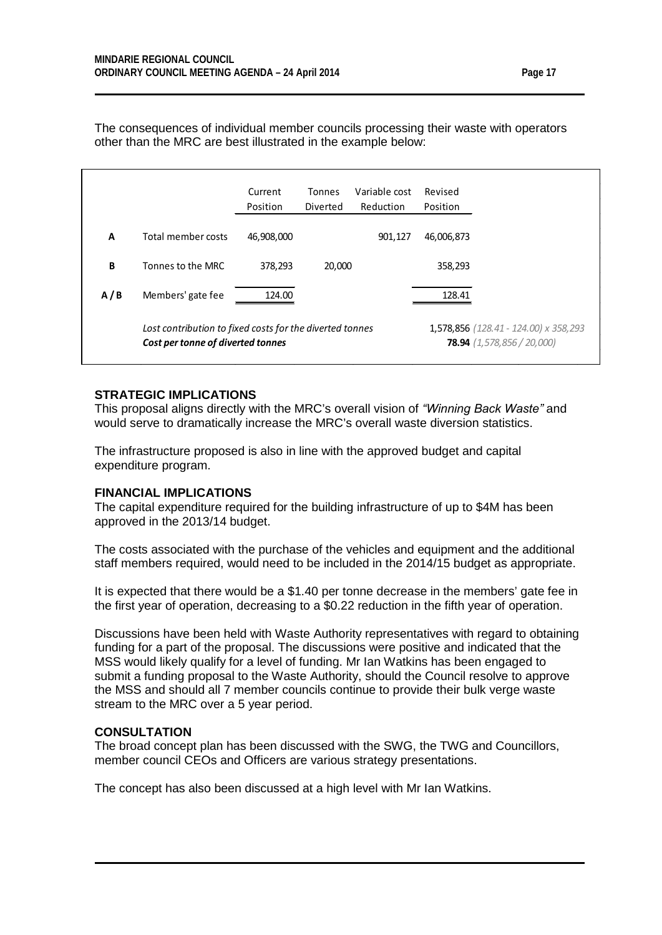The consequences of individual member councils processing their waste with operators other than the MRC are best illustrated in the example below:

|     |                                                                                               | Current<br>Position | Tonnes<br>Diverted | Variable cost<br>Reduction | Revised<br>Position                                                          |  |
|-----|-----------------------------------------------------------------------------------------------|---------------------|--------------------|----------------------------|------------------------------------------------------------------------------|--|
| A   | Total member costs                                                                            | 46,908,000          |                    | 901,127                    | 46,006,873                                                                   |  |
| B   | Tonnes to the MRC                                                                             | 378,293             | 20,000             |                            | 358,293                                                                      |  |
| A/B | Members' gate fee                                                                             | 124.00              |                    |                            | 128.41                                                                       |  |
|     | Lost contribution to fixed costs for the diverted tonnes<br>Cost per tonne of diverted tonnes |                     |                    |                            | 1,578,856 (128.41 - 124.00) x 358,293<br><b>78.94</b> $(1,578,856 / 20,000)$ |  |

#### **STRATEGIC IMPLICATIONS**

This proposal aligns directly with the MRC's overall vision of *"Winning Back Waste"* and would serve to dramatically increase the MRC's overall waste diversion statistics.

The infrastructure proposed is also in line with the approved budget and capital expenditure program.

#### **FINANCIAL IMPLICATIONS**

The capital expenditure required for the building infrastructure of up to \$4M has been approved in the 2013/14 budget.

The costs associated with the purchase of the vehicles and equipment and the additional staff members required, would need to be included in the 2014/15 budget as appropriate.

It is expected that there would be a \$1.40 per tonne decrease in the members' gate fee in the first year of operation, decreasing to a \$0.22 reduction in the fifth year of operation.

Discussions have been held with Waste Authority representatives with regard to obtaining funding for a part of the proposal. The discussions were positive and indicated that the MSS would likely qualify for a level of funding. Mr Ian Watkins has been engaged to submit a funding proposal to the Waste Authority, should the Council resolve to approve the MSS and should all 7 member councils continue to provide their bulk verge waste stream to the MRC over a 5 year period.

#### **CONSULTATION**

The broad concept plan has been discussed with the SWG, the TWG and Councillors, member council CEOs and Officers are various strategy presentations.

The concept has also been discussed at a high level with Mr Ian Watkins.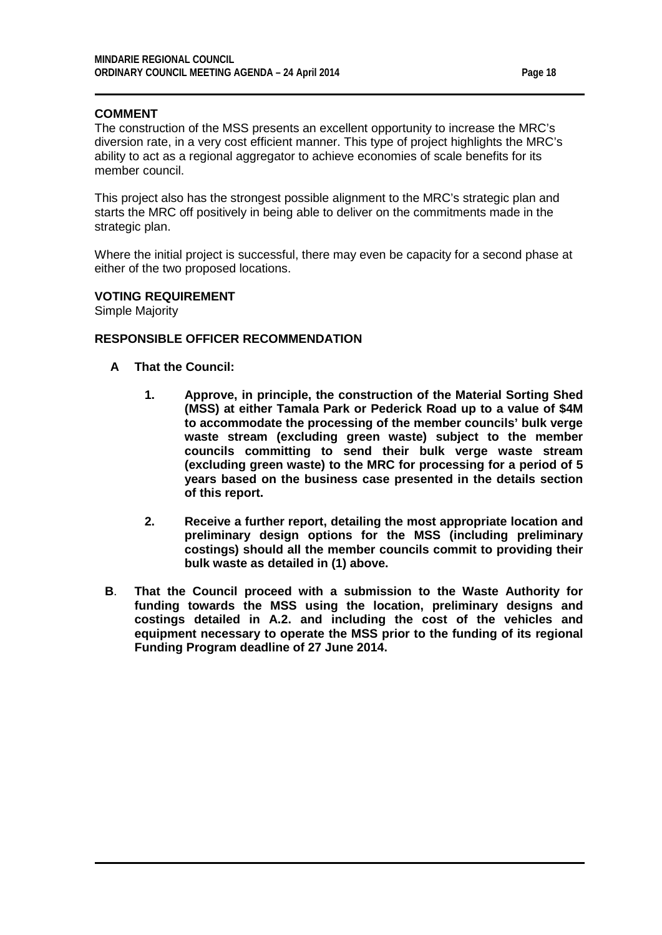#### **COMMENT**

The construction of the MSS presents an excellent opportunity to increase the MRC's diversion rate, in a very cost efficient manner. This type of project highlights the MRC's ability to act as a regional aggregator to achieve economies of scale benefits for its member council.

This project also has the strongest possible alignment to the MRC's strategic plan and starts the MRC off positively in being able to deliver on the commitments made in the strategic plan.

Where the initial project is successful, there may even be capacity for a second phase at either of the two proposed locations.

#### **VOTING REQUIREMENT**

Simple Majority

#### **RESPONSIBLE OFFICER RECOMMENDATION**

- **A That the Council:**
	- **1. Approve, in principle, the construction of the Material Sorting Shed (MSS) at either Tamala Park or Pederick Road up to a value of \$4M to accommodate the processing of the member councils' bulk verge waste stream (excluding green waste) subject to the member councils committing to send their bulk verge waste stream (excluding green waste) to the MRC for processing for a period of 5 years based on the business case presented in the details section of this report.**
	- **2. Receive a further report, detailing the most appropriate location and preliminary design options for the MSS (including preliminary costings) should all the member councils commit to providing their bulk waste as detailed in (1) above.**
- **B**. **That the Council proceed with a submission to the Waste Authority for funding towards the MSS using the location, preliminary designs and costings detailed in A.2. and including the cost of the vehicles and equipment necessary to operate the MSS prior to the funding of its regional Funding Program deadline of 27 June 2014.**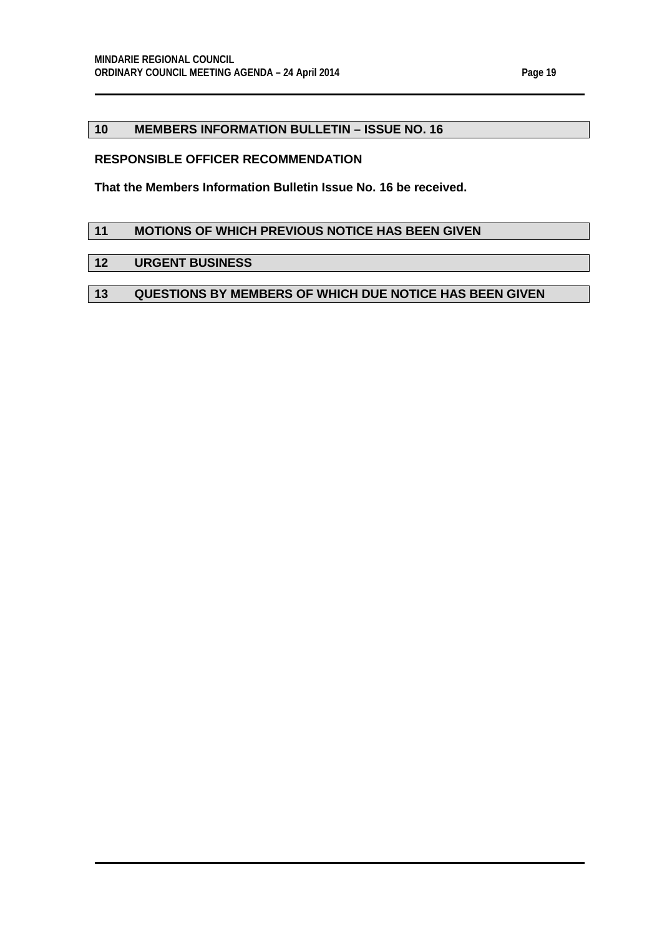#### <span id="page-18-0"></span>**10 MEMBERS INFORMATION BULLETIN – ISSUE NO. 16**

#### **RESPONSIBLE OFFICER RECOMMENDATION**

**That the Members Information Bulletin Issue No. 16 be received.**

### <span id="page-18-1"></span>**11 MOTIONS OF WHICH PREVIOUS NOTICE HAS BEEN GIVEN**

### <span id="page-18-2"></span>**12 URGENT BUSINESS**

## <span id="page-18-3"></span>**13 QUESTIONS BY MEMBERS OF WHICH DUE NOTICE HAS BEEN GIVEN**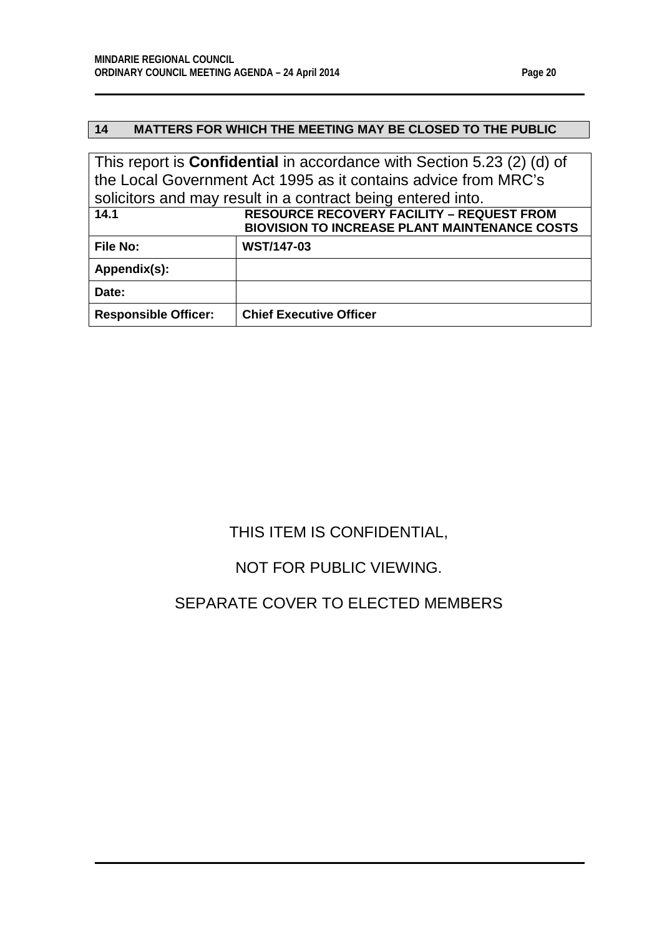# <span id="page-19-0"></span>**14 MATTERS FOR WHICH THE MEETING MAY BE CLOSED TO THE PUBLIC**

This report is **Confidential** in accordance with Section 5.23 (2) (d) of the Local Government Act 1995 as it contains advice from MRC's solicitors and may result in a contract being entered into. **14.1 RESOURCE RECOVERY FACILITY – REQUEST FROM** 

<span id="page-19-1"></span>

|                             | <b>BIOVISION TO INCREASE PLANT MAINTENANCE COSTS</b> |
|-----------------------------|------------------------------------------------------|
| <b>File No:</b>             | <b>WST/147-03</b>                                    |
| Appendix(s):                |                                                      |
| Date:                       |                                                      |
| <b>Responsible Officer:</b> | <b>Chief Executive Officer</b>                       |

# THIS ITEM IS CONFIDENTIAL,

# NOT FOR PUBLIC VIEWING.

# SEPARATE COVER TO ELECTED MEMBERS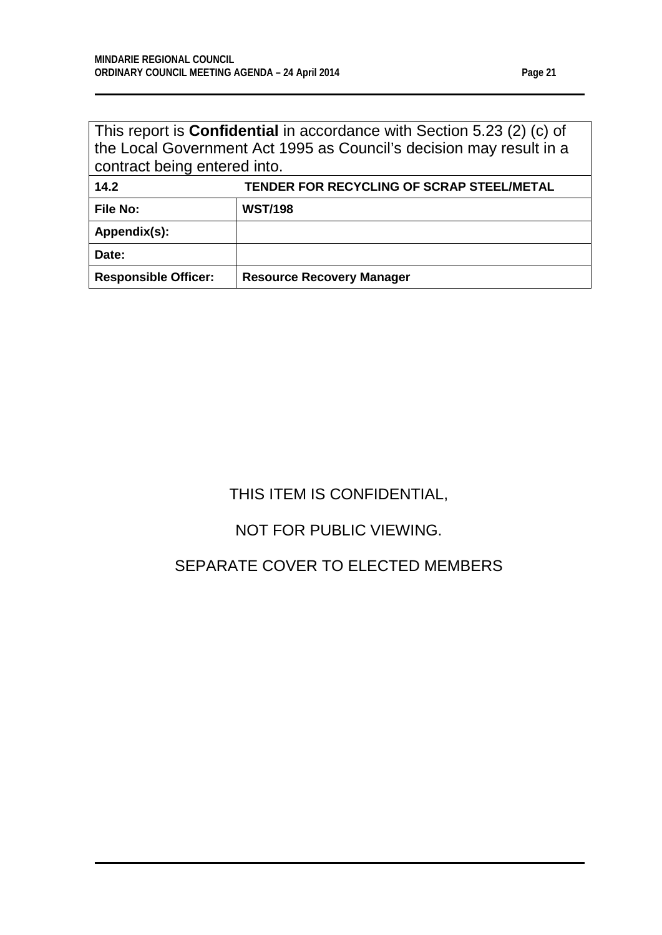<span id="page-20-0"></span>

| This report is <b>Confidential</b> in accordance with Section 5.23 (2) (c) of<br>the Local Government Act 1995 as Council's decision may result in a<br>contract being entered into. |                                           |  |
|--------------------------------------------------------------------------------------------------------------------------------------------------------------------------------------|-------------------------------------------|--|
| 14.2                                                                                                                                                                                 | TENDER FOR RECYCLING OF SCRAP STEEL/METAL |  |
| <b>File No:</b>                                                                                                                                                                      | <b>WST/198</b>                            |  |
| Appendix(s):                                                                                                                                                                         |                                           |  |
| Date:                                                                                                                                                                                |                                           |  |
| <b>Responsible Officer:</b>                                                                                                                                                          | <b>Resource Recovery Manager</b>          |  |

# THIS ITEM IS CONFIDENTIAL,

# NOT FOR PUBLIC VIEWING.

# SEPARATE COVER TO ELECTED MEMBERS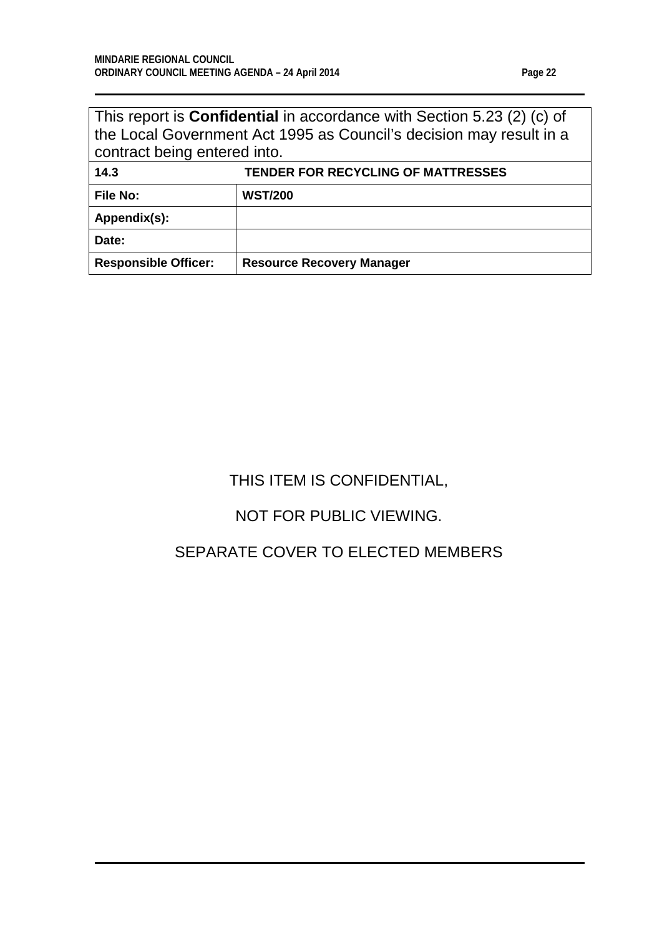| ď<br>н<br>۰<br>г |  |
|------------------|--|
|------------------|--|

| This report is <b>Confidential</b> in accordance with Section 5.23 (2) (c) of |
|-------------------------------------------------------------------------------|
| the Local Government Act 1995 as Council's decision may result in a           |
| contract being entered into.                                                  |

<span id="page-21-0"></span>

| 14.3                        | <b>TENDER FOR RECYCLING OF MATTRESSES</b> |
|-----------------------------|-------------------------------------------|
| <b>File No:</b>             | <b>WST/200</b>                            |
| Appendix(s):                |                                           |
| Date:                       |                                           |
| <b>Responsible Officer:</b> | <b>Resource Recovery Manager</b>          |

# THIS ITEM IS CONFIDENTIAL,

# NOT FOR PUBLIC VIEWING.

# SEPARATE COVER TO ELECTED MEMBERS